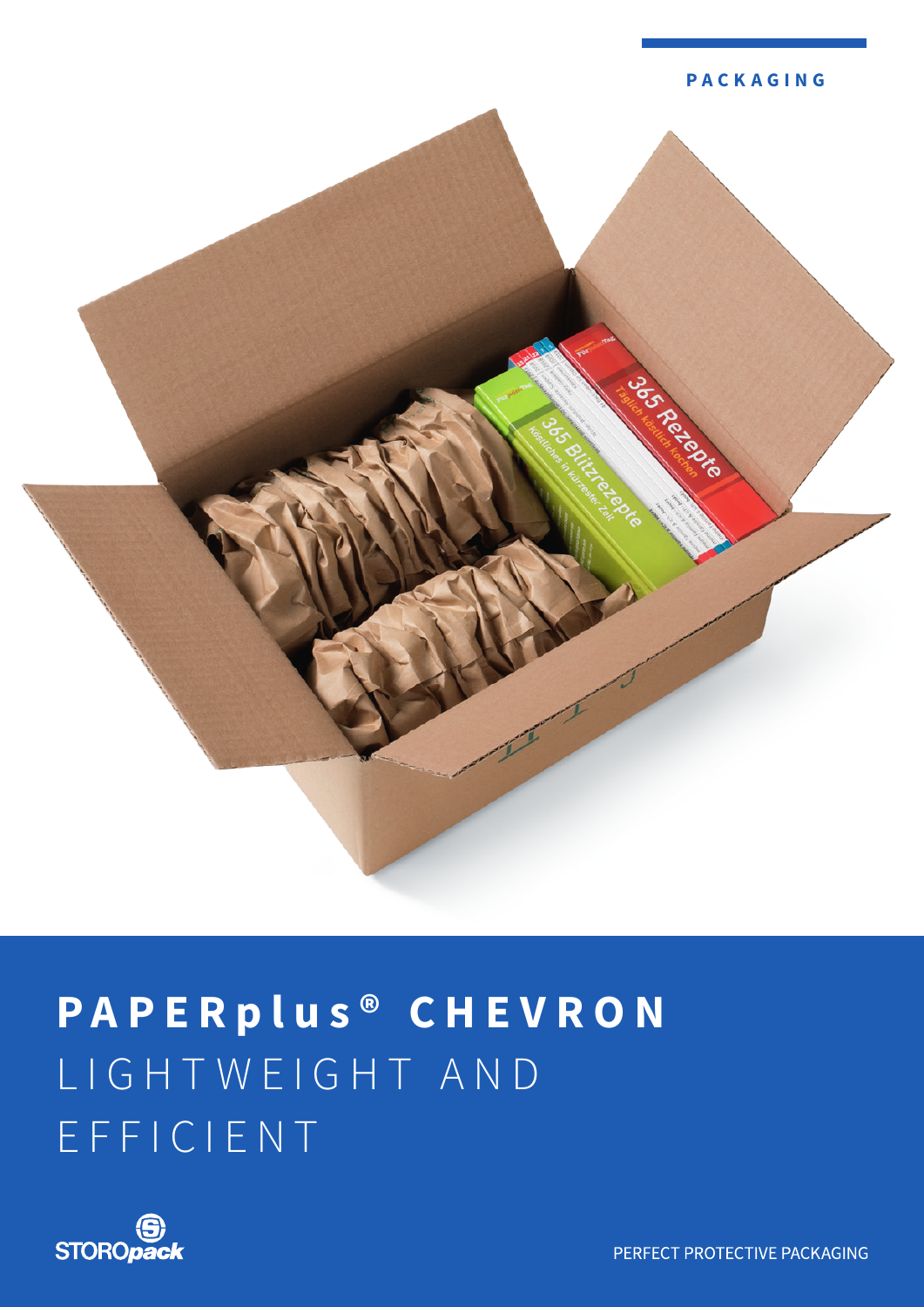



# **PAPER plus ® C H E V R O N**  LIGHTWEIGHT AND EFFICIENT



PERFECT PROTECTIVE PACKAGING